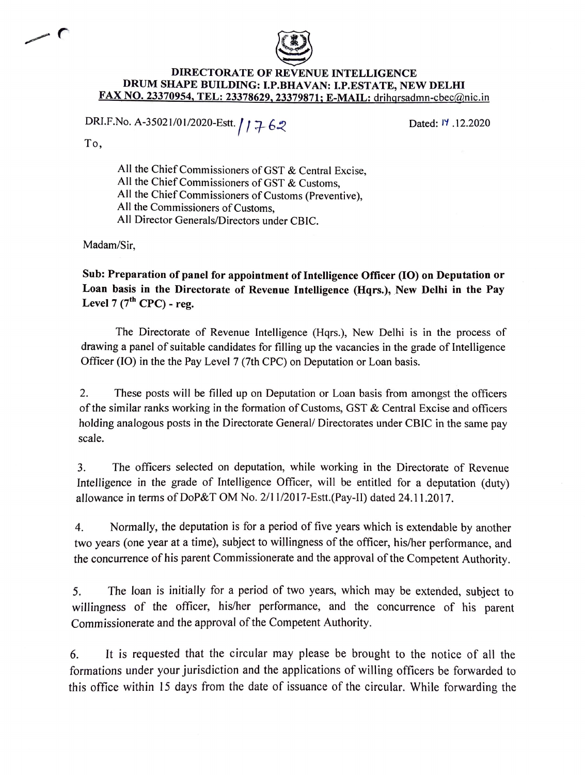

## **DIRECTORATE OF REVENUE INTELLIGENCE**  DRUM SHAPE BUILDING: I.P.BHAVAN: I.P.ESTATE, NEW DELHI **FAX NO. 23370954, TEL: 23378629, 23379871; E-MAIL:** drihgrsadmn-cbec@nic.in

## DRI.F.No. A-35021/01/2020-Estt.  $/$  /  $7.62$

Dated: 17 .12.2020

To,

- (

All the Chief Commissioners of GST & Central Excise, All the Chief Commissioners of GST & Customs, All the Chief Commissioners of Customs (Preventive), All the Commissioners of Customs, All Director Generals/Directors under CBIC.

Madam/Sir,

**Sub: Preparation of panel for appointment of Intelligence Officer (IO) on Deputation or Loan basis in the Directorate of Revenue Intelligence (Hqrs.), New Delhi in the Pay**  Level  $7(7^{th}$  CPC) - reg.

The Directorate of Revenue Intelligence (Hqrs.), New Delhi is in the process of drawing a panel of suitable candidates for filling up the vacancies in the grade of Intelligence Officer (IO) in the the Pay Level 7 (7th CPC) on Deputation or Loan basis.

2. These posts will be filled up on Deputation or Loan basis from amongst the officers of the similar ranks working in the formation of Customs, GST & Central Excise and officers holding analogous posts in the Directorate General/ Directorates under CBIC in the same pay scale.

3. The officers selected on deputation, while working in the Directorate of Revenue Intelligence in the grade of Intelligence Officer, will be entitled for a deputation (duty) allowance in terms of DoP&T OM No. 2/11/2017-Estt.(Pay-II) dated 24.11.2017.

4. Normally, the deputation is for a period of five years which is extendable by another two years (one year at a time), subject to willingness of the officer, his/her performance, and the concurrence of his parent Commissionerate and the approval of the Competent Authority.

5. The loan is initially for a period of two years, which may be extended, subject to willingness of the officer, his/her performance, and the concurrence of his parent Commissionerate and the approval of the Competent Authority.

6. It is requested that the circular may please be brought to the notice of all the formations under your jurisdiction and the applications of willing officers be forwarded to this office within 15 days from the date of issuance of the circular. While forwarding the